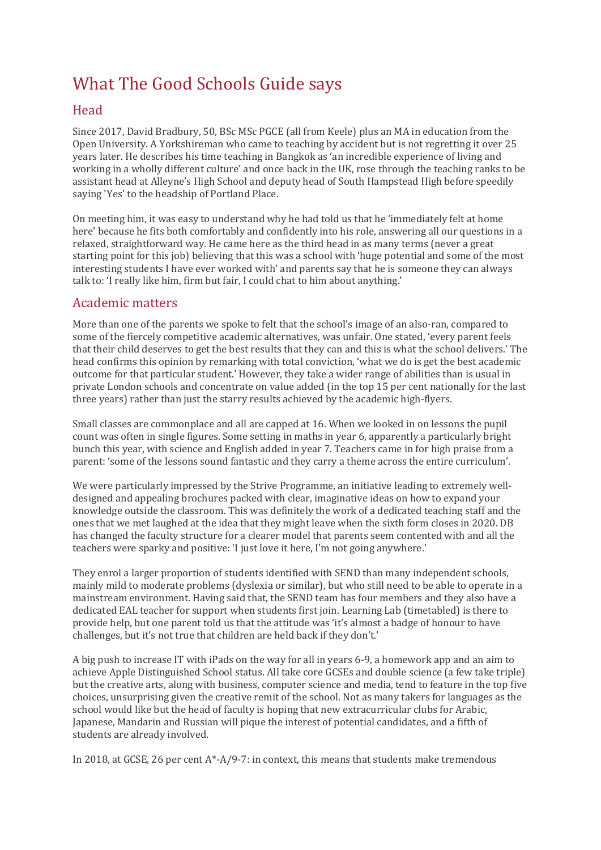# What The Good Schools Guide says

# Head

Since 2017, David Bradbury, 50, BSc MSc PGCE (all from Keele) plus an MA in education from the Open University. A Yorkshireman who came to teaching by accident but is not regretting it over 25 years later. He describes his time teaching in Bangkok as 'an incredible experience of living and working in a wholly different culture' and once back in the UK, rose through the teaching ranks to be assistant head at Alleyne's High School and deputy head of South Hampstead High before speedily saying 'Yes' to the headship of Portland Place.

On meeting him, it was easy to understand why he had told us that he 'immediately felt at home here' because he fits both comfortably and confidently into his role, answering all our questions in a relaxed, straightforward way. He came here as the third head in as many terms (never a great starting point for this job) believing that this was a school with 'huge potential and some of the most interesting students I have ever worked with' and parents say that he is someone they can always talk to: 'I really like him, firm but fair, I could chat to him about anything.'

## Academic matters

More than one of the parents we spoke to felt that the school's image of an also-ran, compared to some of the fiercely competitive academic alternatives, was unfair. One stated, 'every parent feels that their child deserves to get the best results that they can and this is what the school delivers.' The head confirms this opinion by remarking with total conviction, 'what we do is get the best academic outcome for that particular student.' However, they take a wider range of abilities than is usual in private London schools and concentrate on value added (in the top 15 per cent nationally for the last three years) rather than just the starry results achieved by the academic high-flyers.

Small classes are commonplace and all are capped at 16. When we looked in on lessons the pupil count was often in single figures. Some setting in maths in year 6, apparently a particularly bright bunch this year, with science and English added in year 7. Teachers came in for high praise from a parent: 'some of the lessons sound fantastic and they carry a theme across the entire curriculum'.

We were particularly impressed by the Strive Programme, an initiative leading to extremely welldesigned and appealing brochures packed with clear, imaginative ideas on how to expand your knowledge outside the classroom. This was definitely the work of a dedicated teaching staff and the ones that we met laughed at the idea that they might leave when the sixth form closes in 2020. DB has changed the faculty structure for a clearer model that parents seem contented with and all the teachers were sparky and positive: 'I just love it here, I'm not going anywhere.'

They enrol a larger proportion of students identified with SEND than many independent schools, mainly mild to moderate problems (dyslexia or similar), but who still need to be able to operate in a mainstream environment. Having said that, the SEND team has four members and they also have a dedicated EAL teacher for support when students first join. Learning Lab (timetabled) is there to provide help, but one parent told us that the attitude was 'it's almost a badge of honour to have challenges, but it's not true that children are held back if they don't.'

A big push to increase IT with iPads on the way for all in years 6-9, a homework app and an aim to achieve Apple Distinguished School status. All take core GCSEs and double science (a few take triple) but the creative arts, along with business, computer science and media, tend to feature in the top five choices, unsurprising given the creative remit of the school. Not as many takers for languages as the school would like but the head of faculty is hoping that new extracurricular clubs for Arabic, Japanese, Mandarin and Russian will pique the interest of potential candidates, and a fifth of students are already involved.

In 2018, at GCSE, 26 per cent A\*-A/9-7: in context, this means that students make tremendous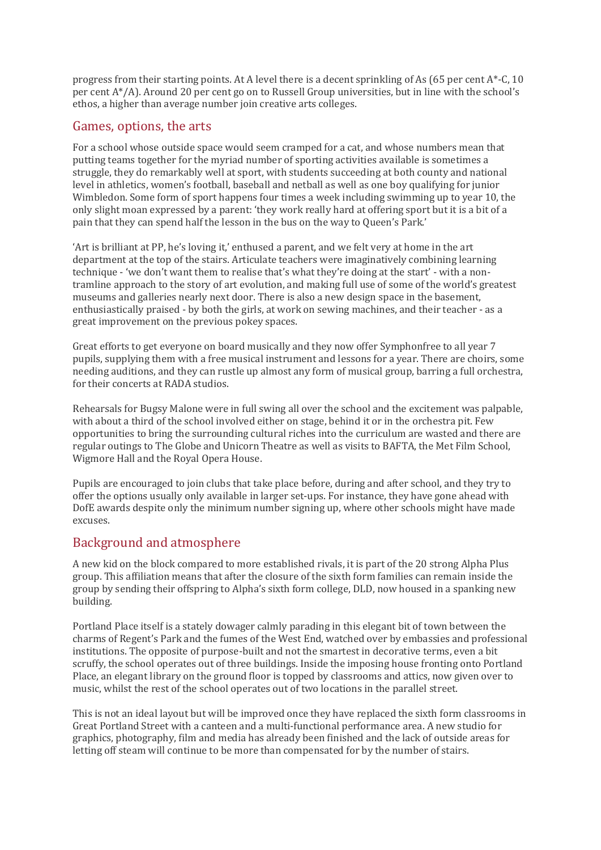progress from their starting points. At A level there is a decent sprinkling of As (65 per cent A\*-C, 10 per cent A\*/A). Around 20 per cent go on to Russell Group universities, but in line with the school's ethos, a higher than average number join creative arts colleges.

## Games, options, the arts

For a school whose outside space would seem cramped for a cat, and whose numbers mean that putting teams together for the myriad number of sporting activities available is sometimes a struggle, they do remarkably well at sport, with students succeeding at both county and national level in athletics, women's football, baseball and netball as well as one boy qualifying for junior Wimbledon. Some form of sport happens four times a week including swimming up to year 10, the only slight moan expressed by a parent: 'they work really hard at offering sport but it is a bit of a pain that they can spend half the lesson in the bus on the way to Queen's Park.'

'Art is brilliant at PP, he's loving it,' enthused a parent, and we felt very at home in the art department at the top of the stairs. Articulate teachers were imaginatively combining learning technique - 'we don't want them to realise that's what they're doing at the start' - with a nontramline approach to the story of art evolution, and making full use of some of the world's greatest museums and galleries nearly next door. There is also a new design space in the basement, enthusiastically praised - by both the girls, at work on sewing machines, and their teacher - as a great improvement on the previous pokey spaces.

Great efforts to get everyone on board musically and they now offer Symphonfree to all year 7 pupils, supplying them with a free musical instrument and lessons for a year. There are choirs, some needing auditions, and they can rustle up almost any form of musical group, barring a full orchestra, for their concerts at RADA studios.

Rehearsals for Bugsy Malone were in full swing all over the school and the excitement was palpable, with about a third of the school involved either on stage, behind it or in the orchestra pit. Few opportunities to bring the surrounding cultural riches into the curriculum are wasted and there are regular outings to The Globe and Unicorn Theatre as well as visits to BAFTA, the Met Film School, Wigmore Hall and the Royal Opera House.

Pupils are encouraged to join clubs that take place before, during and after school, and they try to offer the options usually only available in larger set-ups. For instance, they have gone ahead with DofE awards despite only the minimum number signing up, where other schools might have made excuses.

## Background and atmosphere

A new kid on the block compared to more established rivals, it is part of the 20 strong Alpha Plus group. This affiliation means that after the closure of the sixth form families can remain inside the group by sending their offspring to Alpha's sixth form college, DLD, now housed in a spanking new building.

Portland Place itself is a stately dowager calmly parading in this elegant bit of town between the charms of Regent's Park and the fumes of the West End, watched over by embassies and professional institutions. The opposite of purpose-built and not the smartest in decorative terms, even a bit scruffy, the school operates out of three buildings. Inside the imposing house fronting onto Portland Place, an elegant library on the ground floor is topped by classrooms and attics, now given over to music, whilst the rest of the school operates out of two locations in the parallel street.

This is not an ideal layout but will be improved once they have replaced the sixth form classrooms in Great Portland Street with a canteen and a multi-functional performance area. A new studio for graphics, photography, film and media has already been finished and the lack of outside areas for letting off steam will continue to be more than compensated for by the number of stairs.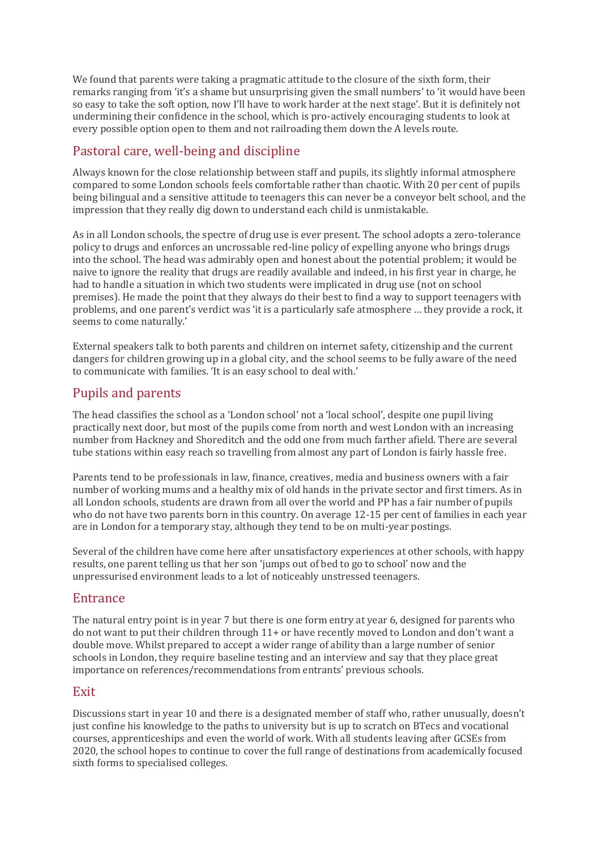We found that parents were taking a pragmatic attitude to the closure of the sixth form, their remarks ranging from 'it's a shame but unsurprising given the small numbers' to 'it would have been so easy to take the soft option, now I'll have to work harder at the next stage'. But it is definitely not undermining their confidence in the school, which is pro-actively encouraging students to look at every possible option open to them and not railroading them down the A levels route.

# Pastoral care, well-being and discipline

Always known for the close relationship between staff and pupils, its slightly informal atmosphere compared to some London schools feels comfortable rather than chaotic. With 20 per cent of pupils being bilingual and a sensitive attitude to teenagers this can never be a conveyor belt school, and the impression that they really dig down to understand each child is unmistakable.

As in all London schools, the spectre of drug use is ever present. The school adopts a zero-tolerance policy to drugs and enforces an uncrossable red-line policy of expelling anyone who brings drugs into the school. The head was admirably open and honest about the potential problem; it would be naive to ignore the reality that drugs are readily available and indeed, in his first year in charge, he had to handle a situation in which two students were implicated in drug use (not on school premises). He made the point that they always do their best to find a way to support teenagers with problems, and one parent's verdict was 'it is a particularly safe atmosphere … they provide a rock, it seems to come naturally.'

External speakers talk to both parents and children on internet safety, citizenship and the current dangers for children growing up in a global city, and the school seems to be fully aware of the need to communicate with families. 'It is an easy school to deal with.'

# Pupils and parents

The head classifies the school as a 'London school' not a 'local school', despite one pupil living practically next door, but most of the pupils come from north and west London with an increasing number from Hackney and Shoreditch and the odd one from much farther afield. There are several tube stations within easy reach so travelling from almost any part of London is fairly hassle free.

Parents tend to be professionals in law, finance, creatives, media and business owners with a fair number of working mums and a healthy mix of old hands in the private sector and first timers. As in all London schools, students are drawn from all over the world and PP has a fair number of pupils who do not have two parents born in this country. On average 12-15 per cent of families in each year are in London for a temporary stay, although they tend to be on multi-year postings.

Several of the children have come here after unsatisfactory experiences at other schools, with happy results, one parent telling us that her son 'jumps out of bed to go to school' now and the unpressurised environment leads to a lot of noticeably unstressed teenagers.

## Entrance

The natural entry point is in year 7 but there is one form entry at year 6, designed for parents who do not want to put their children through 11+ or have recently moved to London and don't want a double move. Whilst prepared to accept a wider range of ability than a large number of senior schools in London, they require baseline testing and an interview and say that they place great importance on references/recommendations from entrants' previous schools.

#### Exit

Discussions start in year 10 and there is a designated member of staff who, rather unusually, doesn't just confine his knowledge to the paths to university but is up to scratch on BTecs and vocational courses, apprenticeships and even the world of work. With all students leaving after GCSEs from 2020, the school hopes to continue to cover the full range of destinations from academically focused sixth forms to specialised colleges.